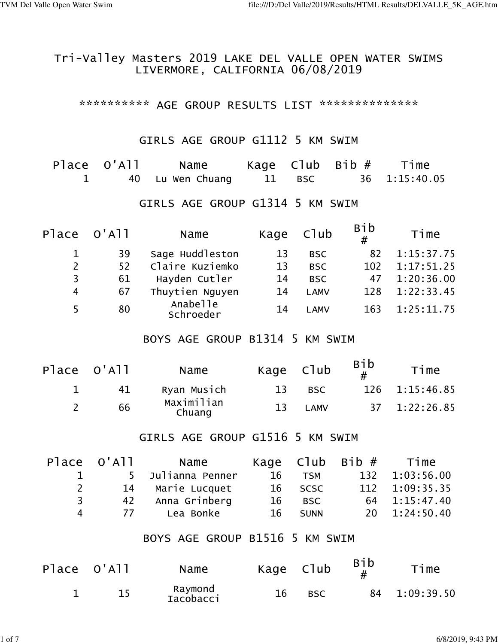#### Tri-Valley Masters 2019 LAKE DEL VALLE OPEN WATER SWIMS LIVERMORE, CALIFORNIA 06/08/2019

\*\*\*\*\*\*\*\*\*\*\* AGE GROUP RESULTS LIST \*\*\*\*\*\*\*\*\*\*\*\*\*\*\*

#### GIRLS AGE GROUP G1112 5 KM SWIM

| Place O'All | Name             |        | Kage $C1ub$ Bib $#$ | Time          |
|-------------|------------------|--------|---------------------|---------------|
|             | 40 Lu Wen Chuang | 11 BSC |                     | 36 1:15:40.05 |

### GIRLS AGE GROUP G1314 5 KM SWIM

| Place O'All |    | Name                  | Kage | Club        | <b>Bib</b><br># | Time       |
|-------------|----|-----------------------|------|-------------|-----------------|------------|
| $\mathbf 1$ | 39 | Sage Huddleston       | 13   | <b>BSC</b>  | 82              | 1:15:37.75 |
| 2           | 52 | Claire Kuziemko       | 13   | <b>BSC</b>  | 102             | 1:17:51.25 |
| 3           | 61 | Hayden Cutler         | 14   | <b>BSC</b>  | 47              | 1:20:36.00 |
| 4           | 67 | Thuytien Nguyen       | 14   | <b>LAMV</b> | 128             | 1:22:33.45 |
|             | 80 | Anabelle<br>Schroeder | 14   | <b>LAMV</b> | 163             | 1:25:11.75 |

### BOYS AGE GROUP B1314 5 KM SWIM

| Place O'All | Name                 | Kage Club |              | <b>Bib</b> | Time           |
|-------------|----------------------|-----------|--------------|------------|----------------|
| 41          | Ryan Musich          | 13        | BSC.         |            | 126 1:15:46.85 |
| 66          | Maximilian<br>Chuang | 13        | <b>I AMV</b> |            | 37 1:22:26.85  |

#### GIRLS AGE GROUP G1516 5 KM SWIM

| Place O'All | Name          |                                                   |             |         | Time           |
|-------------|---------------|---------------------------------------------------|-------------|---------|----------------|
|             |               | 16                                                | <b>TSM</b>  |         | 132 1:03:56.00 |
| <b>2</b>    |               |                                                   |             |         | 112 1:09:35.35 |
| २           | Anna Grinberg | 16                                                | <b>BSC</b>  |         | 64 1:15:47.40  |
|             | Lea Bonke     | 16                                                | <b>SUNN</b> |         | 20 1:24:50.40  |
|             |               | 5 Julianna Penner<br>14 Marie Lucquet<br>42<br>77 |             | 16 SCSC | Kage Club Bib# |

#### BOYS AGE GROUP B1516 5 KM SWIM

| Place O'All | Name                 | Kage Club |            | Bib | Time          |
|-------------|----------------------|-----------|------------|-----|---------------|
| 15.         | Raymond<br>Iacobacci | 16        | <b>BSC</b> |     | 84 1:09:39.50 |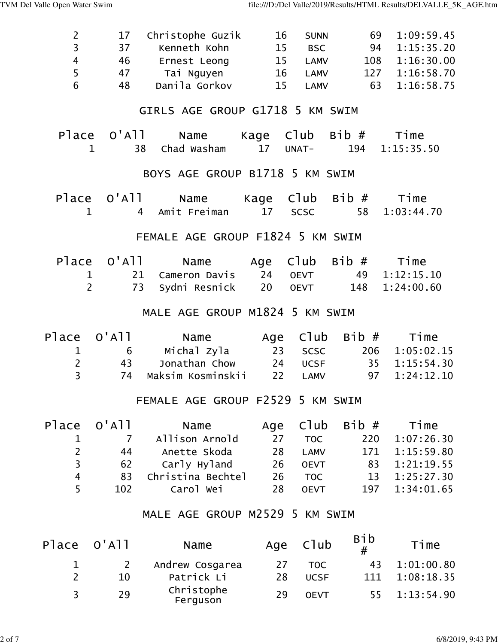| $\overline{c}$          | 17                         | Christophe Guzik                       | 16              | <b>SUNN</b> | 69                        | 1:09:59.45         |
|-------------------------|----------------------------|----------------------------------------|-----------------|-------------|---------------------------|--------------------|
| $\overline{\mathbf{3}}$ | 37                         | Kenneth Kohn                           | 15              | <b>BSC</b>  | 94                        | 1:15:35.20         |
| $\overline{\mathbf{4}}$ | 46                         | Ernest Leong                           | 15              | <b>LAMV</b> | 108                       | 1:16:30.00         |
| 5                       | 47                         | Tai Nguyen                             |                 | 16 LAMV     | 127                       | 1:16:58.70         |
| 6                       | 48                         | Danila Gorkov                          | 15              | <b>LAMV</b> | 63                        | 1:16:58.75         |
|                         |                            | GIRLS AGE GROUP G1718 5 KM SWIM        |                 |             |                           |                    |
| Place                   | $O'$ A $11$<br>$\mathbf 1$ | Name<br>Chad Washam<br>38              | 17 <sup>2</sup> | UNAT-       | Kage Club Bib#<br>194     | Time<br>1:15:35.50 |
|                         |                            | BOYS AGE GROUP B1718 5 KM SWIM         |                 |             |                           |                    |
| $\mathbf 1$             | Place O'All                | Name<br>Amit Freiman<br>$\overline{4}$ | 17 <sup>2</sup> | SCSC        | Kage $C1ub$ Bib $#$<br>58 | Time<br>1:03:44.70 |
|                         |                            | FEMALE AGE GROUP F1824 5 KM SWIM       |                 |             |                           |                    |
| Place                   | 0'A11                      | Name                                   | Age Club        |             | Bib#                      | Time               |
| 1                       |                            | Cameron Davis<br>21                    | 24              | <b>OEVT</b> | 49                        | 1:12:15.10         |
| $\overline{2}$          |                            | 73<br>Sydni Resnick                    | 20              | <b>OEVT</b> | 148                       | 1:24:00.60         |
|                         |                            | MALE AGE GROUP M1824 5 KM SWIM         |                 |             |                           |                    |
| Place                   | $O'$ A $11$                | Name                                   | Age             | Club        | Bib #                     | Time               |
| $\mathbf 1$             | 6                          | Michal Zyla                            |                 | 23 SCSC     | 206                       | 1:05:02.15         |
| $\overline{2}$          | 43                         | Jonathan Chow                          | 24              | <b>UCSF</b> |                           | 35 1:15:54.30      |
| $\overline{3}$          | 74                         | Maksim Kosminskii                      | 22              | LAMV        | 97                        | 1:24:12.10         |
|                         |                            | FEMALE AGE GROUP F2529 5 KM SWIM       |                 |             |                           |                    |
| Place                   | $O'$ A $11$                | Name                                   | Age             | Club        | Bib#                      | Time               |
| 1                       | $\overline{7}$             | Allison Arnold                         | 27              | <b>TOC</b>  | 220                       | 1:07:26.30         |
| $\overline{c}$          | 44                         | Anette Skoda                           | 28              | <b>LAMV</b> | 171                       | 1:15:59.80         |
| $\overline{\mathbf{3}}$ | 62                         | Carly Hyland                           | 26              | <b>OEVT</b> | 83                        | 1:21:19.55         |
| $\overline{\mathbf{r}}$ | 83                         | Christina Bechtel                      | 26              | <b>TOC</b>  | 13                        | 1:25:27.30         |
| 5                       | 102                        | Carol Wei                              | 28              | <b>OEVT</b> | 197                       | 1:34:01.65         |
|                         |                            | MALE AGE GROUP M2529 5 KM SWIM         |                 |             |                           |                    |
| Place                   | $O'$ A $11$                | Name                                   | Age             | C1ub        | <b>Bib</b><br>#           | Time               |
| $\mathbf 1$             | $\overline{2}$             | Andrew Cosgarea                        | 27              | <b>TOC</b>  | 43                        | 1:01:00.80         |
| $\overline{2}$          | 10                         | Patrick Li                             | 28              | <b>UCSF</b> | 111                       | 1:08:18.35         |
| 3                       | 29                         | Christophe<br>Ferguson                 | 29              | <b>OEVT</b> | 55                        | 1:13:54.90         |
|                         |                            |                                        |                 |             |                           |                    |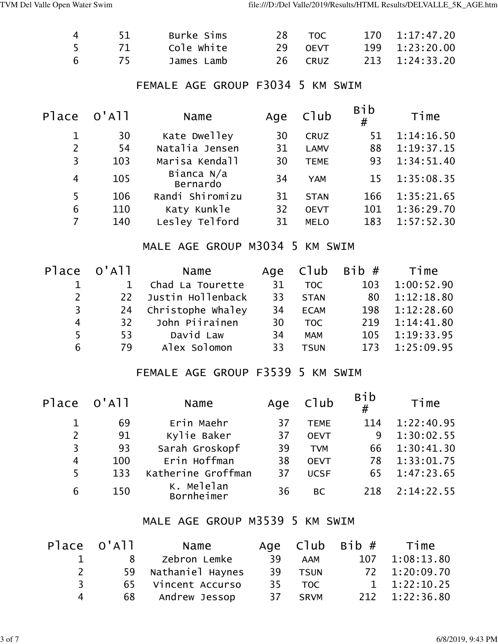| $\overline{\mathbf{4}}$ | 51           | Burke Sims                       | 28  | <b>TOC</b>  | 170             | 1:17:47.20 |
|-------------------------|--------------|----------------------------------|-----|-------------|-----------------|------------|
| 5                       | 71           | Cole white                       | 29  | <b>OEVT</b> | 199             | 1:23:20.00 |
| 6                       | 75           | James Lamb                       | 26  | <b>CRUZ</b> | 213             | 1:24:33.20 |
|                         |              |                                  |     |             |                 |            |
|                         |              | FEMALE AGE GROUP F3034           |     | 5 KM SWIM   |                 |            |
| Place                   | $O'$ A $1$   | Name                             | Age | C1ub        | <b>Bib</b><br># | Time       |
| 1                       | 30           | Kate Dwelley                     | 30  | <b>CRUZ</b> | 51              | 1:14:16.50 |
| $\overline{c}$          | 54           | Natalia Jensen                   | 31  | <b>LAMV</b> | 88              | 1:19:37.15 |
| $\overline{3}$          | 103          | Marisa Kendall                   | 30  | <b>TEME</b> | 93              | 1:34:51.40 |
| $\overline{4}$          | 105          | Bianca N/a<br>Bernardo           | 34  | <b>YAM</b>  | 15              | 1:35:08.35 |
| 5                       | 106          | Randi Shiromizu                  | 31  | <b>STAN</b> | 166             | 1:35:21.65 |
| 6                       | 110          | Katy Kunkle                      | 32  | <b>OEVT</b> | 101             | 1:36:29.70 |
| $\overline{7}$          | 140          | Lesley Telford                   | 31  | <b>MELO</b> | 183             | 1:57:52.30 |
|                         |              | MALE AGE GROUP M3034 5 KM SWIM   |     |             |                 |            |
| Place                   | $O'$ A $11$  | Name                             | Age | Club        | Bib#            | Time       |
| $\mathbf 1$             | $\mathbf{1}$ | Chad La Tourette                 | 31  | <b>TOC</b>  | 103             | 1:00:52.90 |
| $\overline{2}$          | 22           | Justin Hollenback                | 33  | <b>STAN</b> | 80              | 1:12:18.80 |
| $\overline{3}$          | 24           | Christophe Whaley                | 34  | <b>ECAM</b> | 198             | 1:12:28.60 |
| $\overline{4}$          | 32           | John Piirainen                   | 30  | <b>TOC</b>  | 219             | 1:14:41.80 |
| 5                       | 53           | David Law                        | 34  | <b>MAM</b>  | 105             | 1:19:33.95 |
| 6                       | 79           | Alex Solomon                     | 33  | <b>TSUN</b> | 173             | 1:25:09.95 |
|                         |              | FEMALE AGE GROUP F3539 5 KM SWIM |     |             |                 |            |
| Place                   | $O'$ A $11$  | Name                             | Age | Club        | <b>Bib</b><br># | Time       |
| $\mathbf 1$             | 69           | Erin Maehr                       | 37  | <b>TEME</b> | 114             | 1:22:40.95 |
| $\overline{c}$          | 91           | Kylie Baker                      | 37  | <b>OEVT</b> | 9               | 1:30:02.55 |
| $\overline{3}$          | 93           | Sarah Groskopf                   | 39  | <b>TVM</b>  | 66              | 1:30:41.30 |
| $\overline{\mathbf{4}}$ | 100          | Erin Hoffman                     | 38  | <b>OEVT</b> | 78              | 1:33:01.75 |
| 5                       | 133          | Katherine Groffman               | 37  | <b>UCSF</b> | 65              | 1:47:23.65 |
| 6                       | 150          | K. Melelan<br>Bornheimer         | 36  | <b>BC</b>   | 218             | 2:14:22.55 |

## MALE AGE GROUP M3539 5 KM SWIM

|   | Place O'All | Name                |    |             | Age $C1ub$ Bib $#$ Time |
|---|-------------|---------------------|----|-------------|-------------------------|
|   | 8           | Zebron Lemke        | 39 | AAM         | 107 1:08:13.80          |
| 2 |             | 59 Nathaniel Haynes |    | 39 TSUN     | 72 1:20:09.70           |
| २ |             | 65 Vincent Accurso  |    | 35 TOC      | 1, 1:22:10.25           |
|   | 68          | Andrew Jessop       | 37 | <b>SRVM</b> | 212 1:22:36.80          |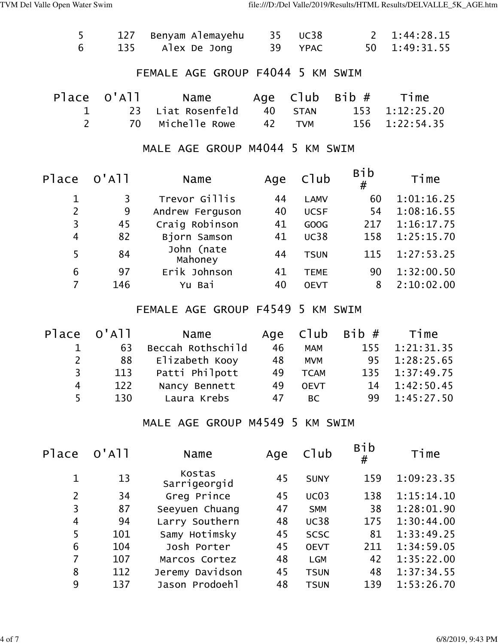| 5                       | 127         | Benyam Alemayehu                 | 35  | <b>UC38</b> | $2^{\circ}$ | 1:44:28.15 |
|-------------------------|-------------|----------------------------------|-----|-------------|-------------|------------|
| 6                       | 135         | Alex De Jong                     | 39  | <b>YPAC</b> | 50          | 1:49:31.55 |
|                         |             | FEMALE AGE GROUP F4044 5 KM SWIM |     |             |             |            |
| Place                   | $O'$ A $11$ | Name                             | Age | C1ub        | Bib #       | Time       |
| 1                       | 23          | Liat Rosenfeld                   | 40  | <b>STAN</b> | 153         | 1:12:25.20 |
| $\overline{2}$          | 70          | Michelle Rowe                    | 42  | <b>TVM</b>  | 156         | 1:22:54.35 |
|                         |             | MALE AGE GROUP M4044 5 KM SWIM   |     |             |             |            |
| Place                   | $O'$ A $11$ | Name                             | Age | Club        | Bib<br>#    | Time       |
| $\mathbf 1$             | 3           | Trevor Gillis                    | 44  | <b>LAMV</b> | 60          | 1:01:16.25 |
| $\overline{2}$          | 9           | Andrew Ferguson                  | 40  | <b>UCSF</b> | 54          | 1:08:16.55 |
| $\overline{\mathbf{3}}$ | 45          | Craig Robinson                   | 41  | <b>GOOG</b> | 217         | 1:16:17.75 |
| $\overline{4}$          | 82          | Bjorn Samson                     | 41  | <b>UC38</b> | 158         | 1:25:15.70 |
| 5                       | 84          | John (nate<br>Mahoney            | 44  | <b>TSUN</b> | 115         | 1:27:53.25 |
| $\boldsymbol{6}$        | 97          | Erik Johnson                     | 41  | <b>TEME</b> | 90          | 1:32:00.50 |
| $\overline{7}$          | 146         | Yu Bai                           | 40  | <b>OEVT</b> | 8           | 2:10:02.00 |
|                         |             | FEMALE AGE GROUP F4549 5 KM SWIM |     |             |             |            |
|                         | ----        |                                  |     |             |             |            |

| Place O'All    |     | Name              |    |             | Age $C1ub$ Bib $#$ | Time           |
|----------------|-----|-------------------|----|-------------|--------------------|----------------|
|                | 63  | Beccah Rothschild | 46 | <b>MAM</b>  | 155                | 1:21:31.35     |
| $2^{\circ}$    | 88  | Elizabeth Kooy    | 48 | <b>MVM</b>  |                    | 95 1:28:25.65  |
| $\overline{3}$ | 113 | Patti Philpott    | 49 | <b>TCAM</b> |                    | 135 1:37:49.75 |
| 4              | 122 | Nancy Bennett     | 49 | <b>OEVT</b> |                    | 14 1:42:50.45  |
| 5              | 130 | Laura Krebs       | 47 | <b>BC</b>   |                    | 99 1:45:27.50  |
|                |     |                   |    |             |                    |                |

#### MALE AGE GROUP M4549 5 KM SWIM

| $O'$ A $11$ | Name                   | Age | $C$ ] $ub$  | <b>Bib</b><br># | Time       |
|-------------|------------------------|-----|-------------|-----------------|------------|
| 13          | Kostas<br>Sarrigeorgid | 45  | <b>SUNY</b> | 159             | 1:09:23.35 |
| 34          | Greg Prince            | 45  | UCO3        | 138             | 1:15:14.10 |
| 87          | Seeyuen Chuang         | 47  | <b>SMM</b>  | 38              | 1:28:01.90 |
| 94          | Larry Southern         | 48  | <b>UC38</b> | 175             | 1:30:44.00 |
| 101         | Samy Hotimsky          | 45  | <b>SCSC</b> | 81              | 1:33:49.25 |
| 104         | Josh Porter            | 45  | <b>OEVT</b> | 211             | 1:34:59.05 |
| 107         | Marcos Cortez          | 48  | <b>LGM</b>  | 42              | 1:35:22.00 |
| 112         | Jeremy Davidson        | 45  | <b>TSUN</b> | 48              | 1:37:34.55 |
| 137         | Jason Prodoehl         | 48  | <b>TSUN</b> | 139             | 1:53:26.70 |
|             |                        |     |             |                 |            |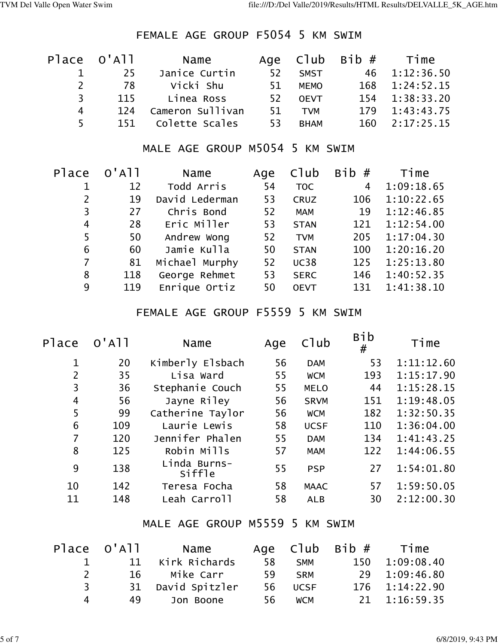## FEMALE AGE GROUP F5054 5 KM SWIM

|    | Place O'All | Name             |     |             | Age $C1ub$ Bib $#$ Time |
|----|-------------|------------------|-----|-------------|-------------------------|
|    | 25          | Janice Curtin    | 52  | <b>SMST</b> | 46 1:12:36.50           |
| 2  | 78          | Vicki Shu        | 51. | <b>MEMO</b> | 168 1:24:52.15          |
| २  | 115         | Linea Ross       | 52  | <b>OEVT</b> | 154 1:38:33.20          |
| 4  | 124         | Cameron Sullivan | 51. | <b>TVM</b>  | 179 1:43:43.75          |
| 5. | 151         | Colette Scales   | 53  | <b>BHAM</b> | 160 2:17:25.15          |

### MALE AGE GROUP M5054 5 KM SWIM

| Place          | $O'$ A $11$ | Name           | Age | $C$ ]ub     | <b>Bib</b><br># | Time       |
|----------------|-------------|----------------|-----|-------------|-----------------|------------|
|                | 12          | Todd Arris     | 54  | <b>TOC</b>  | $\overline{4}$  | 1:09:18.65 |
| $\overline{2}$ | 19          | David Lederman | 53  | <b>CRUZ</b> | 106             | 1:10:22.65 |
| 3              | 27          | Chris Bond     | 52  | <b>MAM</b>  | 19              | 1:12:46.85 |
| 4              | 28          | Eric Miller    | 53  | <b>STAN</b> | 121             | 1:12:54.00 |
| 5              | 50          | Andrew Wong    | 52  | <b>TVM</b>  | 205             | 1:17:04.30 |
| 6              | 60          | Jamie Kulla    | 50  | <b>STAN</b> | 100             | 1:20:16.20 |
| $\overline{7}$ | 81          | Michael Murphy | 52  | <b>UC38</b> | 125             | 1:25:13.80 |
| 8              | 118         | George Rehmet  | 53  | <b>SERC</b> | 146             | 1:40:52.35 |
| 9              | 119         | Enrique Ortiz  | 50  | <b>OEVT</b> | 131             | 1:41:38.10 |
|                |             |                |     |             |                 |            |

## FEMALE AGE GROUP F5559 5 KM SWIM

| Place          | $O'$ A $11$ | Name                   | Age | C1ub        | <b>Bib</b><br># | Time       |
|----------------|-------------|------------------------|-----|-------------|-----------------|------------|
| 1              | 20          | Kimberly Elsbach       | 56  | <b>DAM</b>  | 53              | 1:11:12.60 |
| 2              | 35          | Lisa Ward              | 55  | <b>WCM</b>  | 193             | 1:15:17.90 |
| 3              | 36          | Stephanie Couch        | 55  | <b>MELO</b> | 44              | 1:15:28.15 |
| $\overline{4}$ | 56          | Jayne Riley            | 56  | <b>SRVM</b> | 151             | 1:19:48.05 |
| 5              | 99          | Catherine Taylor       | 56  | <b>WCM</b>  | 182             | 1:32:50.35 |
| 6              | 109         | Laurie Lewis           | 58  | <b>UCSF</b> | 110             | 1:36:04.00 |
| 7              | 120         | Jennifer Phalen        | 55  | <b>DAM</b>  | 134             | 1:41:43.25 |
| 8              | 125         | Robin Mills            | 57  | <b>MAM</b>  | 122             | 1:44:06.55 |
| 9              | 138         | Linda Burns-<br>Siffle | 55  | <b>PSP</b>  | 27              | 1:54:01.80 |
| 10             | 142         | Teresa Focha           | 58  | <b>MAAC</b> | 57              | 1:59:50.05 |
| 11             | 148         | Leah Carroll           | 58  | <b>ALB</b>  | 30              | 2:12:00.30 |
|                |             |                        |     |             |                 |            |

### MALE AGE GROUP M5559 5 KM SWIM

|               | Place O'All | Name              |    |            | Age $C1ub$ Bib $#$ Time |
|---------------|-------------|-------------------|----|------------|-------------------------|
| $\mathbf{1}$  |             | 11 Kirk Richards  | 58 | <b>SMM</b> | 150 1:09:08.40          |
| $\mathcal{P}$ | 16          | Mike Carr         | 59 | <b>SRM</b> | 29 1:09:46.80           |
| 3             |             | 31 David Spitzler |    | 56 UCSF    | 176 1:14:22.90          |
|               | 49          | Jon Boone         | 56 | <b>WCM</b> | 21 1:16:59.35           |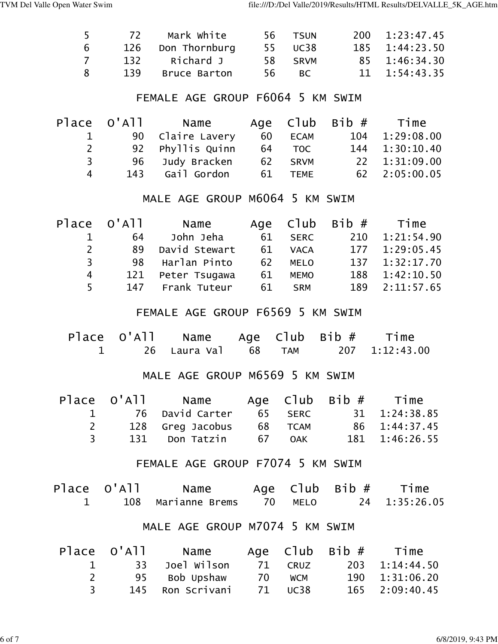| 5.             | 72  | Mark white        |      | 56 TSUN | 200 1:23:47.45        |
|----------------|-----|-------------------|------|---------|-----------------------|
| 6              |     | 126 Don Thornburg |      | 55 UC38 | 185 1:44:23.50        |
| $\overline{7}$ |     | 132 Richard J     |      | 58 SRVM | 85 1:46:34.30         |
| $\mathcal{R}$  | 139 | Bruce Barton      | 56 - | BC.     | $11 \quad 1:54:43.35$ |

## FEMALE AGE GROUP F6064 5 KM SWIM

|              |             | - 60                                                                                 |                                             | 104 1:29:08.00          |
|--------------|-------------|--------------------------------------------------------------------------------------|---------------------------------------------|-------------------------|
|              |             |                                                                                      |                                             | 144 1:30:10.40          |
|              |             |                                                                                      |                                             | 22 1:31:09.00           |
|              | Gail Gordon |                                                                                      |                                             | 62 2:05:00.05           |
| $\mathsf{2}$ | 4           | Place O'All   Name<br>90 Claire Lavery<br>92 Phyllis Quinn<br>96 Judy Bracken<br>143 | <b>ECAM</b><br>64 TOC<br>62 SRVM<br>61 TEME | Age $C1ub$ Bib $#$ Time |

## MALE AGE GROUP M6064 5 KM SWIM

|                | Place O'All | Name             |    |             | Age $C1ub$ Bib $#$ Time |
|----------------|-------------|------------------|----|-------------|-------------------------|
|                | 64          | John Jeha        | 61 | <b>SERC</b> | 210 1:21:54.90          |
| $2^{\circ}$    | 89          | David Stewart    | 61 | <b>VACA</b> | 177 1:29:05.45          |
| 3 <sup>7</sup> | 98          | Harlan Pinto     | 62 | <b>MELO</b> | 137 1:32:17.70          |
| 4              | 121         | Peter Tsugawa    | 61 | <b>MEMO</b> | 188 1:42:10.50          |
| 5              |             | 147 Frank Tuteur | 61 | <b>SRM</b>  | 189 2:11:57.65          |

## FEMALE AGE GROUP F6569 5 KM SWIM

|  | Place $0'$ All Name Age Club Bib $#$ Time |  |                |
|--|-------------------------------------------|--|----------------|
|  |                                           |  | 207 1:12:43.00 |

## MALE AGE GROUP M6569 5 KM SWIM

|              | Place $O'$ All Name Age Club Bib $#$ Time |        |                       |
|--------------|-------------------------------------------|--------|-----------------------|
|              | 1 76 David Carter                         |        | 65 SERC 31 1:24:38.85 |
| <sup>2</sup> | 128 Greg Jacobus 68 TCAM                  |        | 86 1:44:37.45         |
| $\mathbf{R}$ | 131 Don Tatzin                            | 67 OAK | 181 1:46:26.55        |

### FEMALE AGE GROUP F7074 5 KM SWIM

| Place O'All | Name                       |  | Age $C1ub$ Bib $#$ | Time          |
|-------------|----------------------------|--|--------------------|---------------|
|             | 108 Marianne Brems 70 MELO |  |                    | 24 1:35:26.05 |

# MALE AGE GROUP M7074 5 KM SWIM

|              | Place O'All Name   |        |         | Age $C1ub$ Bib $#$ Time |
|--------------|--------------------|--------|---------|-------------------------|
|              | 1 33 Joel Wilson   |        | 71 CRUZ | 203 1:14:44.50          |
| <sup>2</sup> | 95 Bob Upshaw      | 70 WCM |         | 190 1:31:06.20          |
|              | 145   Ron Scrivani |        | 71 UC38 | 165 2:09:40.45          |